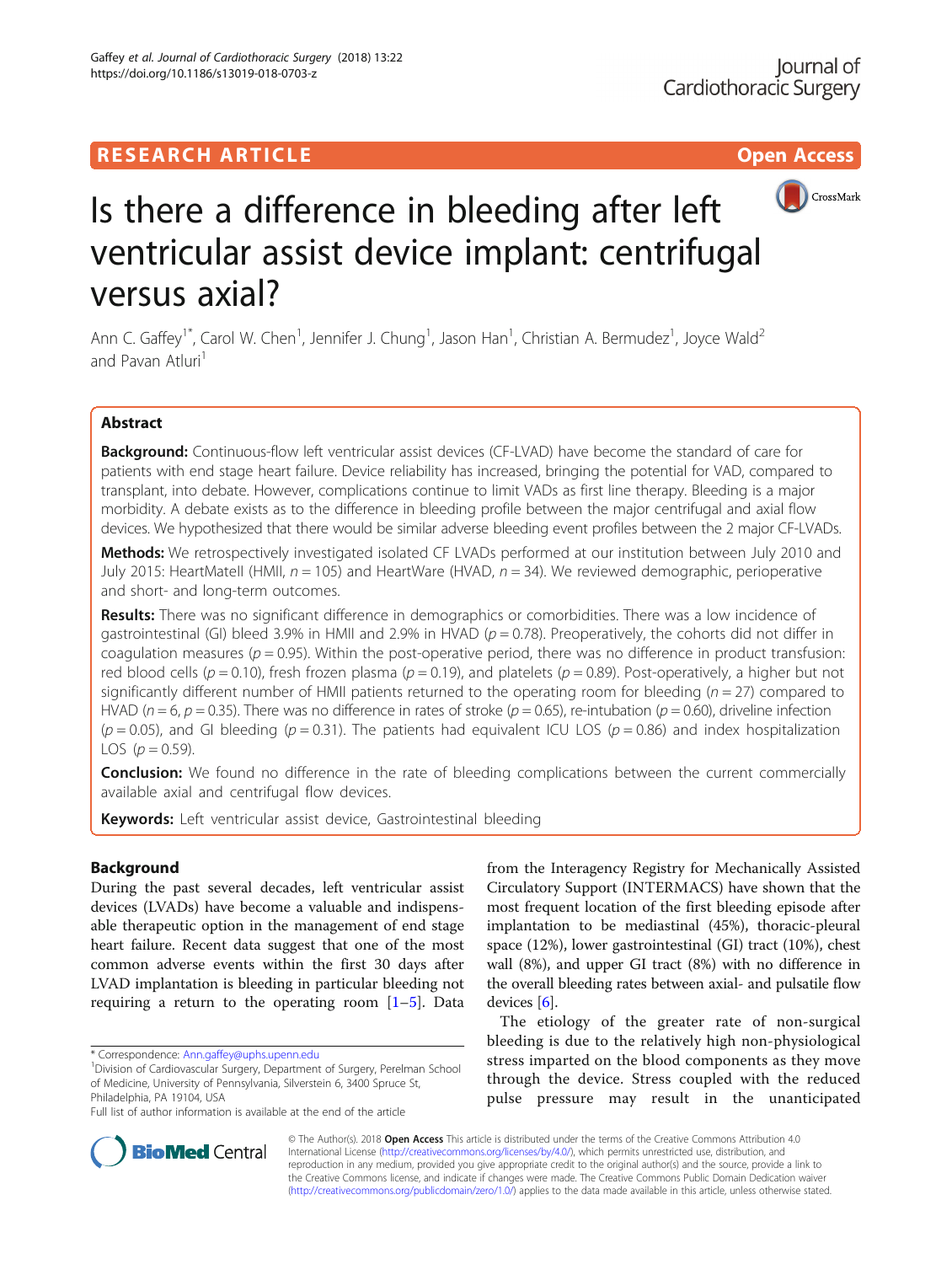

# Is there a difference in bleeding after left ventricular assist device implant: centrifugal versus axial?

Ann C. Gaffey<sup>1\*</sup>, Carol W. Chen<sup>1</sup>, Jennifer J. Chung<sup>1</sup>, Jason Han<sup>1</sup>, Christian A. Bermudez<sup>1</sup>, Joyce Wald<sup>2</sup> and Pavan Atluri<sup>1</sup>

# Abstract

Background: Continuous-flow left ventricular assist devices (CF-LVAD) have become the standard of care for patients with end stage heart failure. Device reliability has increased, bringing the potential for VAD, compared to transplant, into debate. However, complications continue to limit VADs as first line therapy. Bleeding is a major morbidity. A debate exists as to the difference in bleeding profile between the major centrifugal and axial flow devices. We hypothesized that there would be similar adverse bleeding event profiles between the 2 major CF-LVADs.

Methods: We retrospectively investigated isolated CF LVADs performed at our institution between July 2010 and July 2015: HeartMatell (HMII,  $n = 105$ ) and HeartWare (HVAD,  $n = 34$ ). We reviewed demographic, perioperative and short- and long-term outcomes.

Results: There was no significant difference in demographics or comorbidities. There was a low incidence of gastrointestinal (GI) bleed 3.9% in HMII and 2.9% in HVAD ( $p = 0.78$ ). Preoperatively, the cohorts did not differ in coagulation measures ( $p = 0.95$ ). Within the post-operative period, there was no difference in product transfusion: red blood cells ( $p = 0.10$ ), fresh frozen plasma ( $p = 0.19$ ), and platelets ( $p = 0.89$ ). Post-operatively, a higher but not significantly different number of HMII patients returned to the operating room for bleeding ( $n = 27$ ) compared to HVAD ( $n = 6$ ,  $p = 0.35$ ). There was no difference in rates of stroke ( $p = 0.65$ ), re-intubation ( $p = 0.60$ ), driveline infection  $(p = 0.05)$ , and GI bleeding  $(p = 0.31)$ . The patients had equivalent ICU LOS  $(p = 0.86)$  and index hospitalization LOS  $(p = 0.59)$ .

**Conclusion:** We found no difference in the rate of bleeding complications between the current commercially available axial and centrifugal flow devices.

Keywords: Left ventricular assist device, Gastrointestinal bleeding

# Background

During the past several decades, left ventricular assist devices (LVADs) have become a valuable and indispensable therapeutic option in the management of end stage heart failure. Recent data suggest that one of the most common adverse events within the first 30 days after LVAD implantation is bleeding in particular bleeding not requiring a return to the operating room  $[1-5]$  $[1-5]$  $[1-5]$ . Data

from the Interagency Registry for Mechanically Assisted Circulatory Support (INTERMACS) have shown that the most frequent location of the first bleeding episode after implantation to be mediastinal (45%), thoracic-pleural space (12%), lower gastrointestinal (GI) tract (10%), chest wall (8%), and upper GI tract (8%) with no difference in the overall bleeding rates between axial- and pulsatile flow devices [\[6](#page-5-0)].

The etiology of the greater rate of non-surgical bleeding is due to the relatively high non-physiological stress imparted on the blood components as they move through the device. Stress coupled with the reduced pulse pressure may result in the unanticipated



© The Author(s). 2018 Open Access This article is distributed under the terms of the Creative Commons Attribution 4.0 International License [\(http://creativecommons.org/licenses/by/4.0/](http://creativecommons.org/licenses/by/4.0/)), which permits unrestricted use, distribution, and reproduction in any medium, provided you give appropriate credit to the original author(s) and the source, provide a link to the Creative Commons license, and indicate if changes were made. The Creative Commons Public Domain Dedication waiver [\(http://creativecommons.org/publicdomain/zero/1.0/](http://creativecommons.org/publicdomain/zero/1.0/)) applies to the data made available in this article, unless otherwise stated.

<sup>\*</sup> Correspondence: [Ann.gaffey@uphs.upenn.edu](mailto:Ann.gaffey@uphs.upenn.edu) <sup>1</sup>

<sup>&</sup>lt;sup>1</sup> Division of Cardiovascular Surgery, Department of Surgery, Perelman School of Medicine, University of Pennsylvania, Silverstein 6, 3400 Spruce St, Philadelphia, PA 19104, USA

Full list of author information is available at the end of the article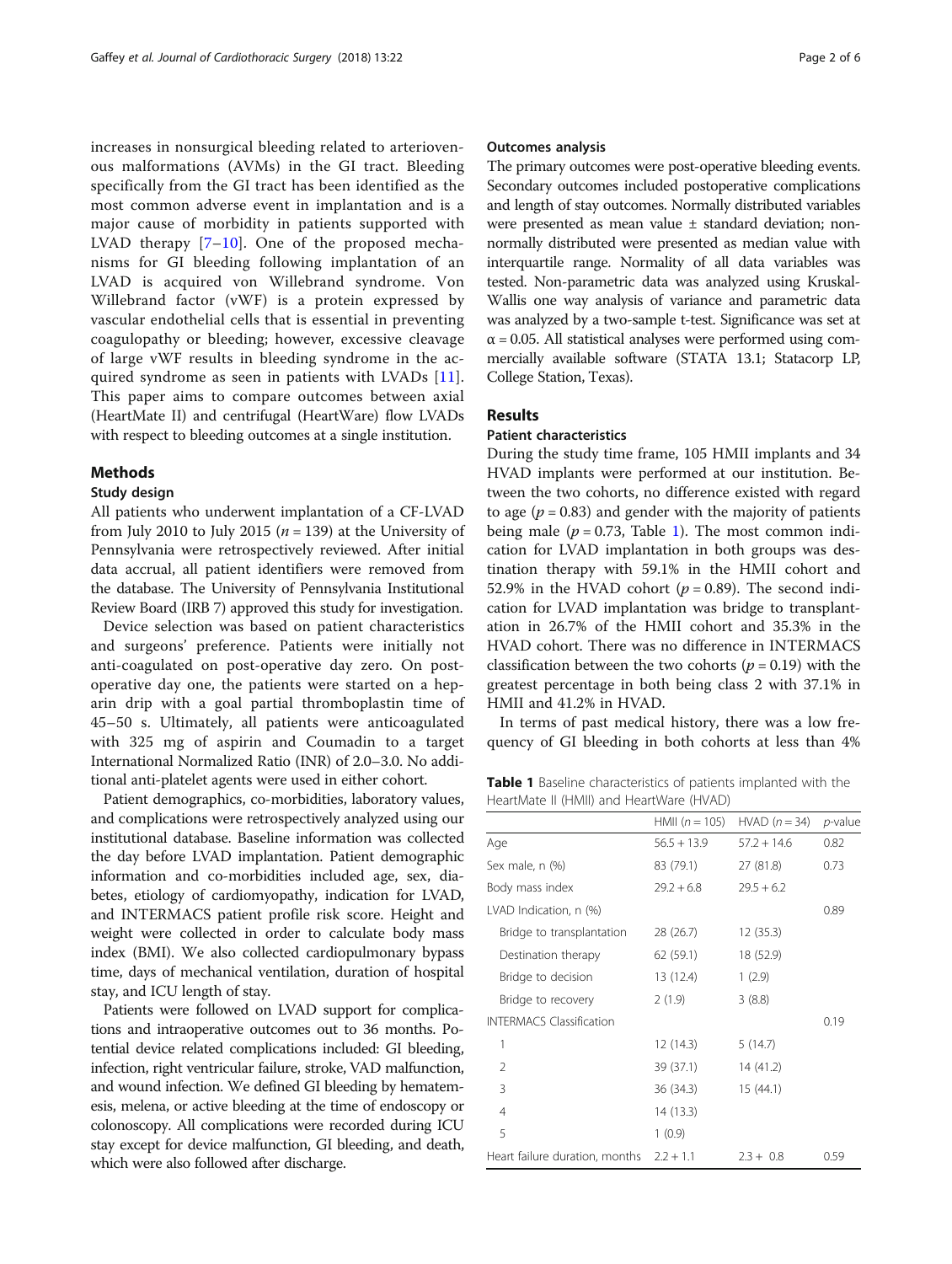increases in nonsurgical bleeding related to arteriovenous malformations (AVMs) in the GI tract. Bleeding specifically from the GI tract has been identified as the most common adverse event in implantation and is a major cause of morbidity in patients supported with LVAD therapy [[7](#page-5-0)–[10\]](#page-5-0). One of the proposed mechanisms for GI bleeding following implantation of an LVAD is acquired von Willebrand syndrome. Von Willebrand factor (vWF) is a protein expressed by vascular endothelial cells that is essential in preventing coagulopathy or bleeding; however, excessive cleavage of large vWF results in bleeding syndrome in the acquired syndrome as seen in patients with LVADs [[11](#page-5-0)]. This paper aims to compare outcomes between axial (HeartMate II) and centrifugal (HeartWare) flow LVADs with respect to bleeding outcomes at a single institution.

## Methods

#### Study design

All patients who underwent implantation of a CF-LVAD from July 2010 to July 2015 ( $n = 139$ ) at the University of Pennsylvania were retrospectively reviewed. After initial data accrual, all patient identifiers were removed from the database. The University of Pennsylvania Institutional Review Board (IRB 7) approved this study for investigation.

Device selection was based on patient characteristics and surgeons' preference. Patients were initially not anti-coagulated on post-operative day zero. On postoperative day one, the patients were started on a heparin drip with a goal partial thromboplastin time of 45–50 s. Ultimately, all patients were anticoagulated with 325 mg of aspirin and Coumadin to a target International Normalized Ratio (INR) of 2.0–3.0. No additional anti-platelet agents were used in either cohort.

Patient demographics, co-morbidities, laboratory values, and complications were retrospectively analyzed using our institutional database. Baseline information was collected the day before LVAD implantation. Patient demographic information and co-morbidities included age, sex, diabetes, etiology of cardiomyopathy, indication for LVAD, and INTERMACS patient profile risk score. Height and weight were collected in order to calculate body mass index (BMI). We also collected cardiopulmonary bypass time, days of mechanical ventilation, duration of hospital stay, and ICU length of stay.

Patients were followed on LVAD support for complications and intraoperative outcomes out to 36 months. Potential device related complications included: GI bleeding, infection, right ventricular failure, stroke, VAD malfunction, and wound infection. We defined GI bleeding by hematemesis, melena, or active bleeding at the time of endoscopy or colonoscopy. All complications were recorded during ICU stay except for device malfunction, GI bleeding, and death, which were also followed after discharge.

## Outcomes analysis

The primary outcomes were post-operative bleeding events. Secondary outcomes included postoperative complications and length of stay outcomes. Normally distributed variables were presented as mean value ± standard deviation; nonnormally distributed were presented as median value with interquartile range. Normality of all data variables was tested. Non-parametric data was analyzed using Kruskal-Wallis one way analysis of variance and parametric data was analyzed by a two-sample t-test. Significance was set at  $\alpha$  = 0.05. All statistical analyses were performed using commercially available software (STATA 13.1; Statacorp LP, College Station, Texas).

## Results

## Patient characteristics

During the study time frame, 105 HMII implants and 34 HVAD implants were performed at our institution. Between the two cohorts, no difference existed with regard to age ( $p = 0.83$ ) and gender with the majority of patients being male ( $p = 0.73$ , Table 1). The most common indication for LVAD implantation in both groups was destination therapy with 59.1% in the HMII cohort and 52.9% in the HVAD cohort ( $p = 0.89$ ). The second indication for LVAD implantation was bridge to transplantation in 26.7% of the HMII cohort and 35.3% in the HVAD cohort. There was no difference in INTERMACS classification between the two cohorts ( $p = 0.19$ ) with the greatest percentage in both being class 2 with 37.1% in HMII and 41.2% in HVAD.

In terms of past medical history, there was a low frequency of GI bleeding in both cohorts at less than 4%

Table 1 Baseline characteristics of patients implanted with the HeartMate II (HMII) and HeartWare (HVAD)

|                                 | HMII $(n = 105)$ | $HVAD (n = 34)$ | <i>p</i> -value |
|---------------------------------|------------------|-----------------|-----------------|
| Age                             | $56.5 + 13.9$    | $57.2 + 14.6$   | 0.82            |
| Sex male, n (%)                 | 83 (79.1)        | 27 (81.8)       | 0.73            |
| Body mass index                 | $79.2 + 6.8$     | $29.5 + 6.2$    |                 |
| LVAD Indication, n (%)          |                  |                 | 0.89            |
| Bridge to transplantation       | 28 (26.7)        | 12 (35.3)       |                 |
| Destination therapy             | 62 (59.1)        | 18 (52.9)       |                 |
| Bridge to decision              | 13 (12.4)        | 1(2.9)          |                 |
| Bridge to recovery              | 2(1.9)           | 3(8.8)          |                 |
| <b>INTERMACS Classification</b> |                  |                 | 0.19            |
| 1                               | 12 (14.3)        | 5(14.7)         |                 |
| 2                               | 39 (37.1)        | 14 (41.2)       |                 |
| 3                               | 36 (34.3)        | 15(44.1)        |                 |
| 4                               | 14 (13.3)        |                 |                 |
| 5                               | 1(0.9)           |                 |                 |
| Heart failure duration, months  | $2.2 + 1.1$      | $2.3 + 0.8$     | 0.59            |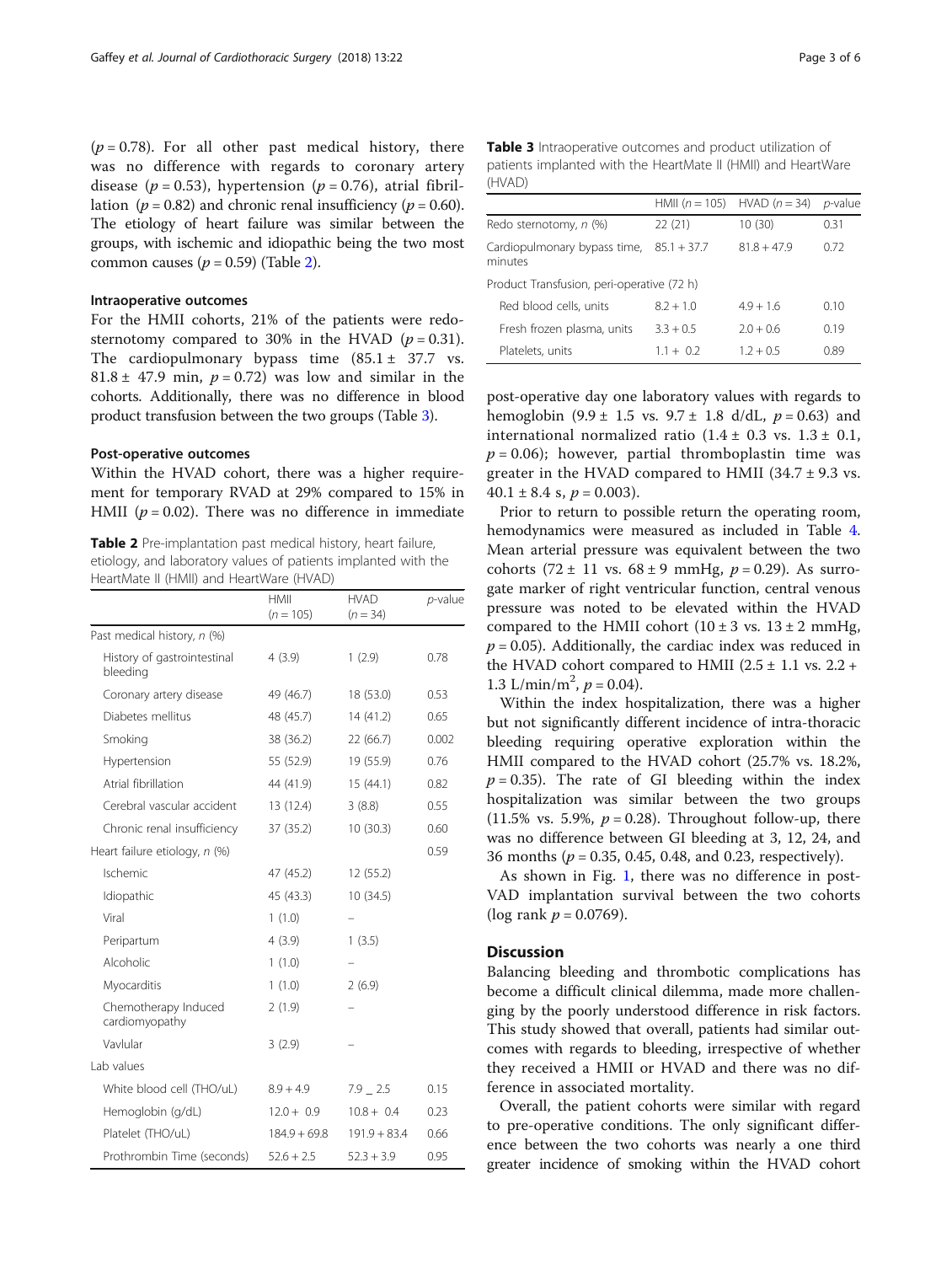$(p = 0.78)$ . For all other past medical history, there was no difference with regards to coronary artery disease ( $p = 0.53$ ), hypertension ( $p = 0.76$ ), atrial fibrillation ( $p = 0.82$ ) and chronic renal insufficiency ( $p = 0.60$ ). The etiology of heart failure was similar between the groups, with ischemic and idiopathic being the two most common causes ( $p = 0.59$ ) (Table 2).

## Intraoperative outcomes

For the HMII cohorts, 21% of the patients were redosternotomy compared to 30% in the HVAD ( $p = 0.31$ ). The cardiopulmonary bypass time  $(85.1 \pm 37.7 \text{ vs.}$  $81.8 \pm 47.9$  min,  $p = 0.72$  was low and similar in the cohorts. Additionally, there was no difference in blood product transfusion between the two groups (Table 3).

## Post-operative outcomes

Within the HVAD cohort, there was a higher requirement for temporary RVAD at 29% compared to 15% in HMII ( $p = 0.02$ ). There was no difference in immediate

Table 2 Pre-implantation past medical history, heart failure, etiology, and laboratory values of patients implanted with the HeartMate II (HMII) and HeartWare (HVAD)

|                                         | HMII<br>$(n = 105)$ | <b>HVAD</b><br>$(n = 34)$ | $p$ -value |
|-----------------------------------------|---------------------|---------------------------|------------|
| Past medical history, n (%)             |                     |                           |            |
| History of gastrointestinal<br>bleeding | 4(3.9)              | 1(2.9)                    | 0.78       |
| Coronary artery disease                 | 49 (46.7)           | 18 (53.0)                 | 0.53       |
| Diabetes mellitus                       | 48 (45.7)           | 14(41.2)                  | 0.65       |
| Smoking                                 | 38 (36.2)           | 22 (66.7)                 | 0.002      |
| Hypertension                            | 55 (52.9)           | 19 (55.9)                 | 0.76       |
| Atrial fibrillation                     | 44 (41.9)           | 15(44.1)                  | 0.82       |
| Cerebral vascular accident              | 13 (12.4)           | 3(8.8)                    | 0.55       |
| Chronic renal insufficiency             | 37 (35.2)           | 10(30.3)                  | 0.60       |
| Heart failure etiology, n (%)           |                     |                           | 0.59       |
| Ischemic                                | 47 (45.2)           | 12 (55.2)                 |            |
| Idiopathic                              | 45 (43.3)           | 10 (34.5)                 |            |
| Viral                                   | 1(1.0)              |                           |            |
| Peripartum                              | 4(3.9)              | 1(3.5)                    |            |
| Alcoholic                               | 1(1.0)              |                           |            |
| Myocarditis                             | 1(1.0)              | 2(6.9)                    |            |
| Chemotherapy Induced<br>cardiomyopathy  | 2(1.9)              |                           |            |
| Vavlular                                | 3(2.9)              |                           |            |
| Lab values                              |                     |                           |            |
| White blood cell (THO/uL)               | $8.9 + 4.9$         | $7.9 - 2.5$               | 0.15       |
| Hemoglobin (g/dL)                       | $12.0 + 0.9$        | $10.8 + 0.4$              | 0.23       |
| Platelet (THO/uL)                       | $184.9 + 69.8$      | $191.9 + 83.4$            | 0.66       |
| Prothrombin Time (seconds)              | $52.6 + 2.5$        | $52.3 + 3.9$              | 0.95       |

Table 3 Intraoperative outcomes and product utilization of patients implanted with the HeartMate II (HMII) and HeartWare (HVAD)

|                                            | HMII $(n = 105)$ | HVAD $(n = 34)$ | <i>p</i> -value |
|--------------------------------------------|------------------|-----------------|-----------------|
| Redo sternotomy, n (%)                     | 22(21)           | 10 (30)         | 0.31            |
| Cardiopulmonary bypass time,<br>minutes    | $85.1 + 37.7$    | $81.8 + 47.9$   | 0.72            |
| Product Transfusion, peri-operative (72 h) |                  |                 |                 |
| Red blood cells, units                     | $82 + 10$        | $49 + 16$       | 0.10            |
| Fresh frozen plasma, units                 | $3.3 + 0.5$      | $70 + 06$       | 0.19            |
| Platelets, units                           | $11 + 02$        | $1.2 + 0.5$     | 0.89            |

post-operative day one laboratory values with regards to hemoglobin  $(9.9 \pm 1.5 \text{ vs. } 9.7 \pm 1.8 \text{ d/dL}, p = 0.63)$  and international normalized ratio  $(1.4 \pm 0.3 \text{ vs. } 1.3 \pm 0.1,$  $p = 0.06$ ; however, partial thromboplastin time was greater in the HVAD compared to HMII  $(34.7 \pm 9.3 \text{ vs.})$  $40.1 \pm 8.4$  s,  $p = 0.003$ ).

Prior to return to possible return the operating room, hemodynamics were measured as included in Table [4](#page-3-0). Mean arterial pressure was equivalent between the two cohorts (72 ± 11 vs.  $68 \pm 9$  mmHg,  $p = 0.29$ ). As surrogate marker of right ventricular function, central venous pressure was noted to be elevated within the HVAD compared to the HMII cohort  $(10 \pm 3 \text{ vs. } 13 \pm 2 \text{ mmHg})$ ,  $p = 0.05$ ). Additionally, the cardiac index was reduced in the HVAD cohort compared to HMII  $(2.5 \pm 1.1 \text{ vs. } 2.2 +$ 1.3 L/min/m<sup>2</sup>,  $p = 0.04$ ).

Within the index hospitalization, there was a higher but not significantly different incidence of intra-thoracic bleeding requiring operative exploration within the HMII compared to the HVAD cohort (25.7% vs. 18.2%,  $p = 0.35$ ). The rate of GI bleeding within the index hospitalization was similar between the two groups (11.5% vs. 5.9%,  $p = 0.28$ ). Throughout follow-up, there was no difference between GI bleeding at 3, 12, 24, and 36 months ( $p = 0.35, 0.45, 0.48,$  and 0.23, respectively).

As shown in Fig. [1,](#page-4-0) there was no difference in post-VAD implantation survival between the two cohorts (log rank  $p = 0.0769$ ).

## **Discussion**

Balancing bleeding and thrombotic complications has become a difficult clinical dilemma, made more challenging by the poorly understood difference in risk factors. This study showed that overall, patients had similar outcomes with regards to bleeding, irrespective of whether they received a HMII or HVAD and there was no difference in associated mortality.

Overall, the patient cohorts were similar with regard to pre-operative conditions. The only significant difference between the two cohorts was nearly a one third greater incidence of smoking within the HVAD cohort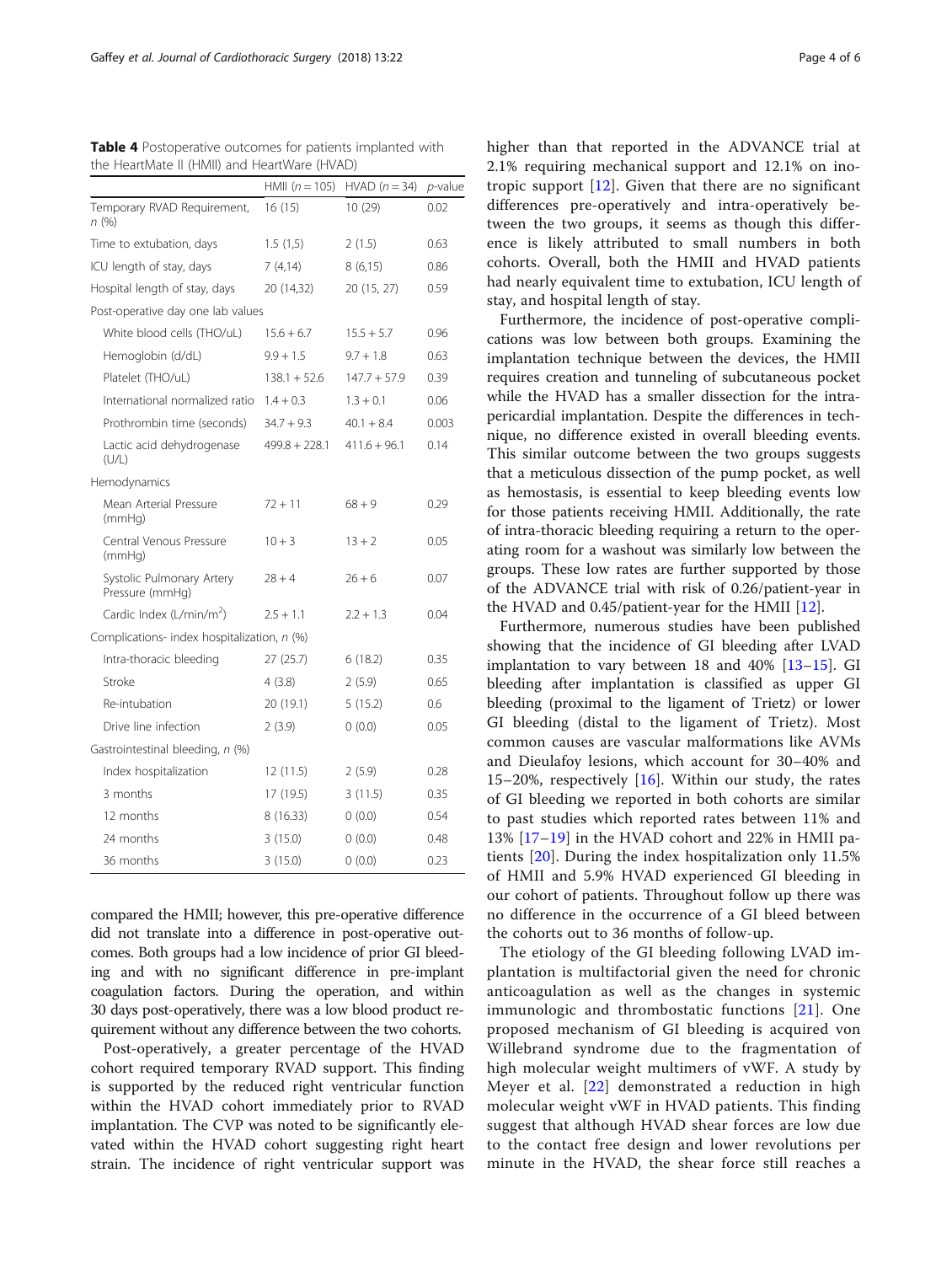| uic i icaruviace ii (riiviii) aria ricaruvare (ri <i>vi</i> i <i>b</i> ) | HMII $(n = 105)$ | $HVAD (n = 34)$ | <i>p</i> -value |
|--------------------------------------------------------------------------|------------------|-----------------|-----------------|
| Temporary RVAD Requirement,<br>n (%)                                     | 16(15)           | 10 (29)         | 0.02            |
| Time to extubation, days                                                 | 1.5(1,5)         | 2(1.5)          | 0.63            |
| ICU length of stay, days                                                 | 7(4,14)          | 8(6,15)         | 0.86            |
| Hospital length of stay, days                                            | 20 (14,32)       | 20 (15, 27)     | 0.59            |
| Post-operative day one lab values                                        |                  |                 |                 |
| White blood cells (THO/uL)                                               | $15.6 + 6.7$     | $15.5 + 5.7$    | 0.96            |
| Hemoglobin (d/dL)                                                        | $9.9 + 1.5$      | $9.7 + 1.8$     | 0.63            |
| Platelet (THO/uL)                                                        | $138.1 + 52.6$   | $147.7 + 57.9$  | 0.39            |
| International normalized ratio                                           | $1.4 + 0.3$      | $1.3 + 0.1$     | 0.06            |
| Prothrombin time (seconds)                                               | $34.7 + 9.3$     | $40.1 + 8.4$    | 0.003           |
| Lactic acid dehydrogenase<br>(U/L)                                       | $499.8 + 228.1$  | $411.6 + 96.1$  | 0.14            |
| Hemodynamics                                                             |                  |                 |                 |
| Mean Arterial Pressure<br>(mmHq)                                         | $72 + 11$        | $68 + 9$        | 0.29            |
| Central Venous Pressure<br>(mmHq)                                        | $10 + 3$         | $13 + 2$        | 0.05            |
| Systolic Pulmonary Artery<br>Pressure (mmHq)                             | $28 + 4$         | $26 + 6$        | 0.07            |
| Cardic Index (L/min/m <sup>2</sup> )                                     | $2.5 + 1.1$      | $2.2 + 1.3$     | 0.04            |
| Complications- index hospitalization, n (%)                              |                  |                 |                 |
| Intra-thoracic bleeding                                                  | 27 (25.7)        | 6(18.2)         | 0.35            |
| Stroke                                                                   | 4 (3.8)          | 2(5.9)          | 0.65            |
| Re-intubation                                                            | 20 (19.1)        | 5(15.2)         | 0.6             |
| Drive line infection                                                     | 2(3.9)           | 0(0.0)          | 0.05            |
| Gastrointestinal bleeding, n (%)                                         |                  |                 |                 |
| Index hospitalization                                                    | 12 (11.5)        | 2(5.9)          | 0.28            |
| 3 months                                                                 | 17 (19.5)        | 3(11.5)         | 0.35            |
| 12 months                                                                | 8 (16.33)        | 0(0.0)          | 0.54            |
| 24 months                                                                | 3(15.0)          | 0(0.0)          | 0.48            |
| 36 months                                                                | 3(15.0)          | 0(0.0)          | 0.23            |

<span id="page-3-0"></span>Table 4 Postoperative outcomes for patients implanted with the HeartMate II (HMII) and HeartWare (HVAD)

compared the HMII; however, this pre-operative difference did not translate into a difference in post-operative outcomes. Both groups had a low incidence of prior GI bleeding and with no significant difference in pre-implant coagulation factors. During the operation, and within 30 days post-operatively, there was a low blood product requirement without any difference between the two cohorts.

Post-operatively, a greater percentage of the HVAD cohort required temporary RVAD support. This finding is supported by the reduced right ventricular function within the HVAD cohort immediately prior to RVAD implantation. The CVP was noted to be significantly elevated within the HVAD cohort suggesting right heart strain. The incidence of right ventricular support was higher than that reported in the ADVANCE trial at 2.1% requiring mechanical support and 12.1% on inotropic support [\[12](#page-5-0)]. Given that there are no significant differences pre-operatively and intra-operatively between the two groups, it seems as though this difference is likely attributed to small numbers in both cohorts. Overall, both the HMII and HVAD patients had nearly equivalent time to extubation, ICU length of stay, and hospital length of stay.

Furthermore, the incidence of post-operative complications was low between both groups. Examining the implantation technique between the devices, the HMII requires creation and tunneling of subcutaneous pocket while the HVAD has a smaller dissection for the intrapericardial implantation. Despite the differences in technique, no difference existed in overall bleeding events. This similar outcome between the two groups suggests that a meticulous dissection of the pump pocket, as well as hemostasis, is essential to keep bleeding events low for those patients receiving HMII. Additionally, the rate of intra-thoracic bleeding requiring a return to the operating room for a washout was similarly low between the groups. These low rates are further supported by those of the ADVANCE trial with risk of 0.26/patient-year in the HVAD and 0.45/patient-year for the HMII [[12\]](#page-5-0).

Furthermore, numerous studies have been published showing that the incidence of GI bleeding after LVAD implantation to vary between 18 and 40% [[13](#page-5-0)–[15](#page-5-0)]. GI bleeding after implantation is classified as upper GI bleeding (proximal to the ligament of Trietz) or lower GI bleeding (distal to the ligament of Trietz). Most common causes are vascular malformations like AVMs and Dieulafoy lesions, which account for 30–40% and 15–20%, respectively  $[16]$  $[16]$ . Within our study, the rates of GI bleeding we reported in both cohorts are similar to past studies which reported rates between 11% and 13% [[17](#page-5-0)–[19\]](#page-5-0) in the HVAD cohort and 22% in HMII patients [\[20](#page-5-0)]. During the index hospitalization only 11.5% of HMII and 5.9% HVAD experienced GI bleeding in our cohort of patients. Throughout follow up there was no difference in the occurrence of a GI bleed between the cohorts out to 36 months of follow-up.

The etiology of the GI bleeding following LVAD implantation is multifactorial given the need for chronic anticoagulation as well as the changes in systemic immunologic and thrombostatic functions [[21\]](#page-5-0). One proposed mechanism of GI bleeding is acquired von Willebrand syndrome due to the fragmentation of high molecular weight multimers of vWF. A study by Meyer et al. [\[22](#page-5-0)] demonstrated a reduction in high molecular weight vWF in HVAD patients. This finding suggest that although HVAD shear forces are low due to the contact free design and lower revolutions per minute in the HVAD, the shear force still reaches a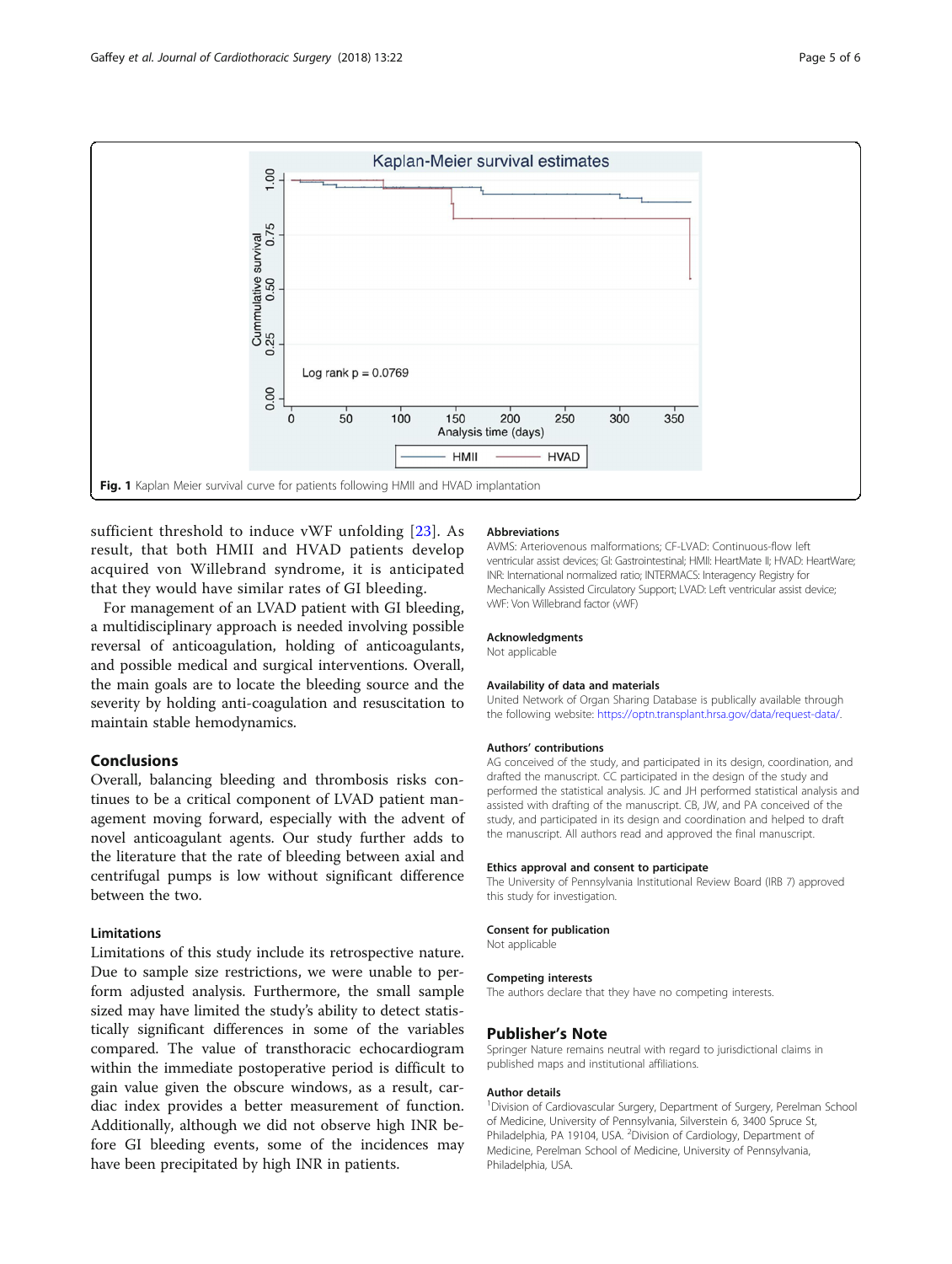<span id="page-4-0"></span>

sufficient threshold to induce vWF unfolding [[23](#page-5-0)]. As result, that both HMII and HVAD patients develop acquired von Willebrand syndrome, it is anticipated that they would have similar rates of GI bleeding.

For management of an LVAD patient with GI bleeding, a multidisciplinary approach is needed involving possible reversal of anticoagulation, holding of anticoagulants, and possible medical and surgical interventions. Overall, the main goals are to locate the bleeding source and the severity by holding anti-coagulation and resuscitation to maintain stable hemodynamics.

## Conclusions

Overall, balancing bleeding and thrombosis risks continues to be a critical component of LVAD patient management moving forward, especially with the advent of novel anticoagulant agents. Our study further adds to the literature that the rate of bleeding between axial and centrifugal pumps is low without significant difference between the two.

## Limitations

Limitations of this study include its retrospective nature. Due to sample size restrictions, we were unable to perform adjusted analysis. Furthermore, the small sample sized may have limited the study's ability to detect statistically significant differences in some of the variables compared. The value of transthoracic echocardiogram within the immediate postoperative period is difficult to gain value given the obscure windows, as a result, cardiac index provides a better measurement of function. Additionally, although we did not observe high INR before GI bleeding events, some of the incidences may have been precipitated by high INR in patients.

#### Abbreviations

AVMS: Arteriovenous malformations; CF-LVAD: Continuous-flow left ventricular assist devices; GI: Gastrointestinal; HMII: HeartMate II; HVAD: HeartWare; INR: International normalized ratio; INTERMACS: Interagency Registry for Mechanically Assisted Circulatory Support; LVAD: Left ventricular assist device; vWF: Von Willebrand factor (vWF)

#### Acknowledgments

Not applicable

#### Availability of data and materials

United Network of Organ Sharing Database is publically available through the following website: [https://optn.transplant.hrsa.gov/data/request-data/.](https://optn.transplant.hrsa.gov/data/request-data)

## Authors' contributions

AG conceived of the study, and participated in its design, coordination, and drafted the manuscript. CC participated in the design of the study and performed the statistical analysis. JC and JH performed statistical analysis and assisted with drafting of the manuscript. CB, JW, and PA conceived of the study, and participated in its design and coordination and helped to draft the manuscript. All authors read and approved the final manuscript.

#### Ethics approval and consent to participate

The University of Pennsylvania Institutional Review Board (IRB 7) approved this study for investigation.

#### Consent for publication

Not applicable

#### Competing interests

The authors declare that they have no competing interests.

#### Publisher's Note

Springer Nature remains neutral with regard to jurisdictional claims in published maps and institutional affiliations.

#### Author details

<sup>1</sup> Division of Cardiovascular Surgery, Department of Surgery, Perelman School of Medicine, University of Pennsylvania, Silverstein 6, 3400 Spruce St, Philadelphia, PA 19104, USA. <sup>2</sup> Division of Cardiology, Department of Medicine, Perelman School of Medicine, University of Pennsylvania, Philadelphia, USA.